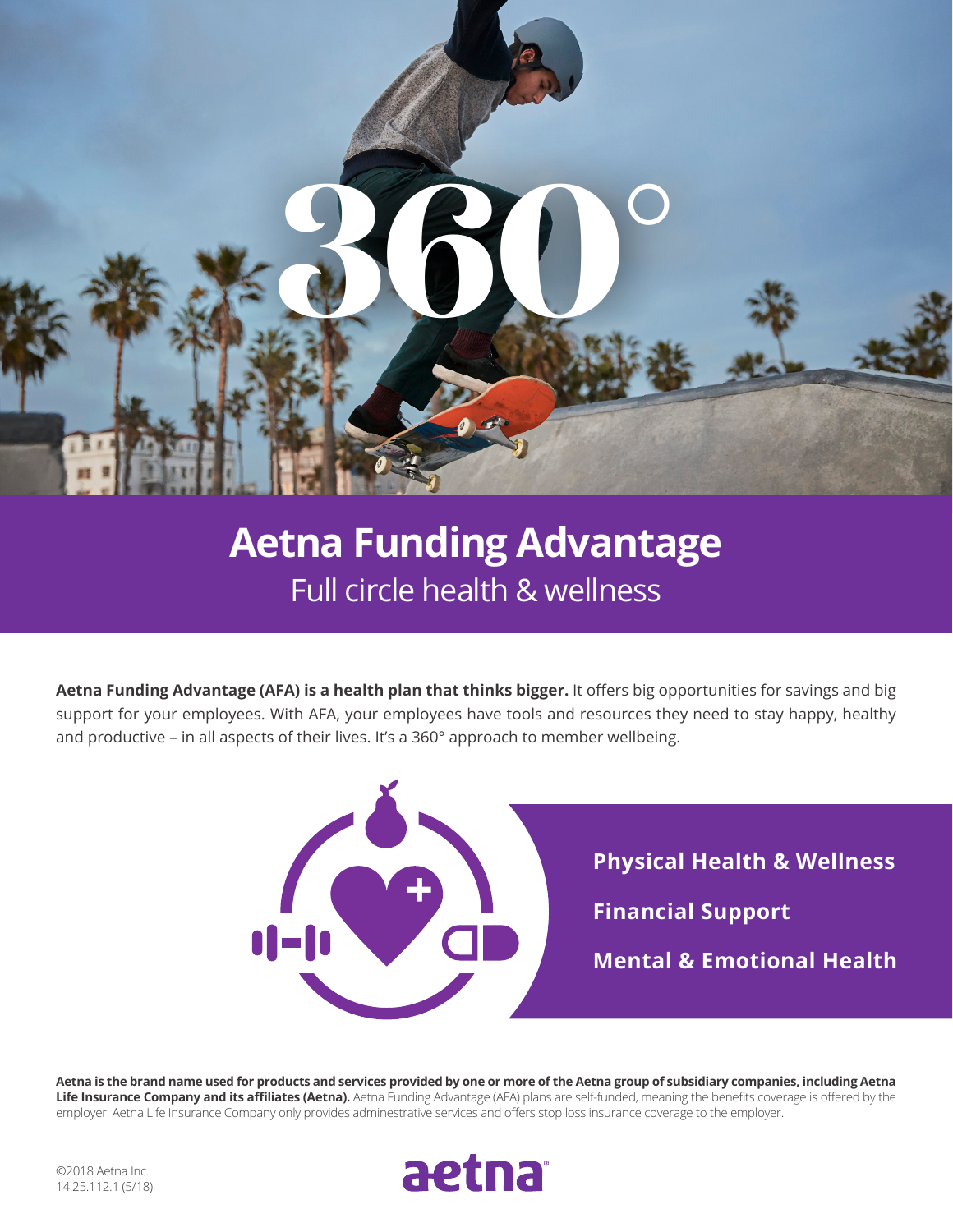

## **Aetna Funding Advantage** Full circle health & wellness

**Aetna Funding Advantage (AFA) is a health plan that thinks bigger.** It offers big opportunities for savings and big support for your employees. With AFA, your employees have tools and resources they need to stay happy, healthy and productive – in all aspects of their lives. It's a 360° approach to member wellbeing.



**Aetna is the brand name used for products and services provided by one or more of the Aetna group of subsidiary companies, including Aetna Life Insurance Company and its affiliates (Aetna).** Aetna Funding Advantage (AFA) plans are self-funded, meaning the benefits coverage is offered by the employer. Aetna Life Insurance Company only provides adminestrative services and offers stop loss insurance coverage to the employer.

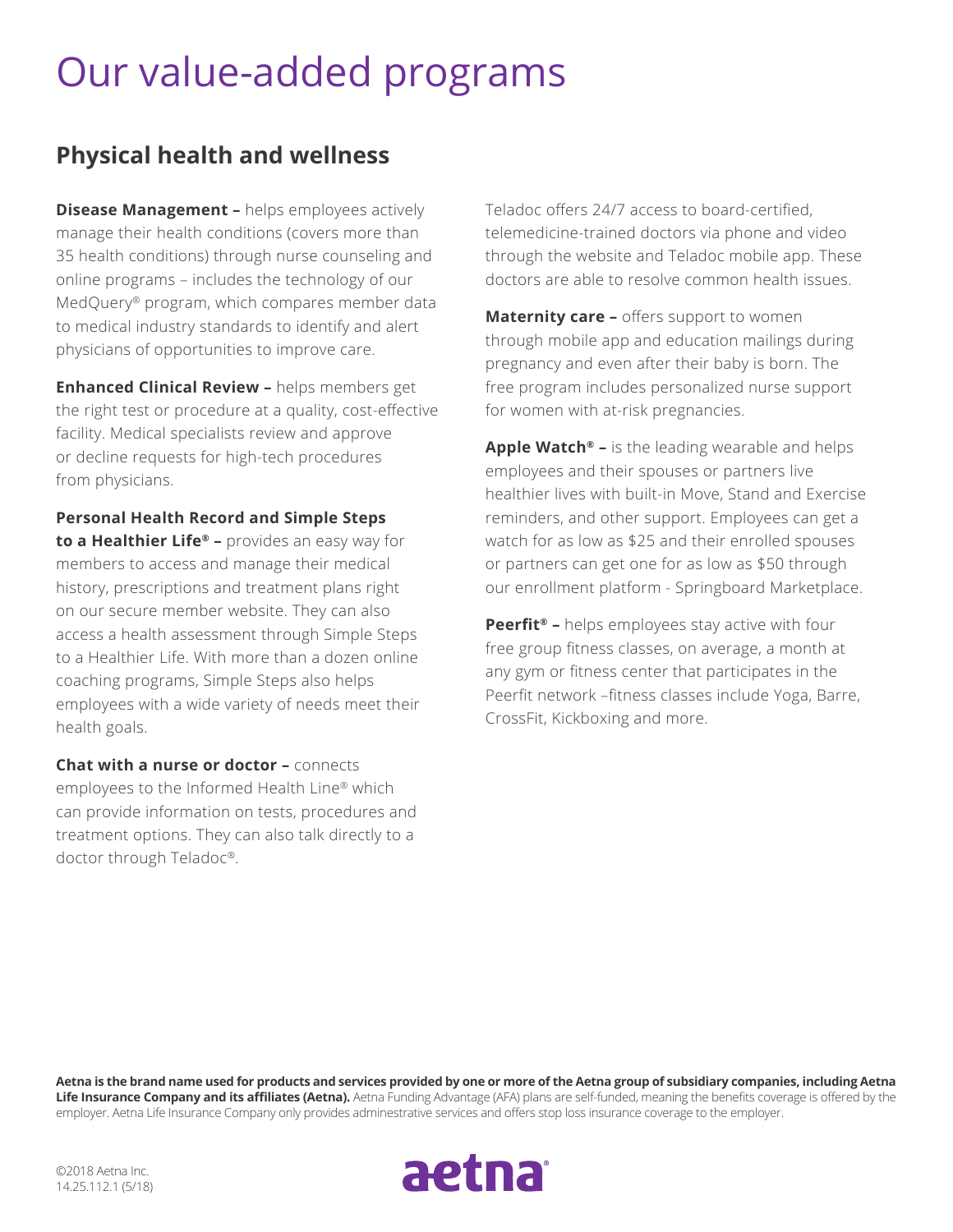# Our value-added programs

#### **Physical health and wellness**

**Disease Management -** helps employees actively manage their health conditions (covers more than 35 health conditions) through nurse counseling and online programs – includes the technology of our MedQuery® program, which compares member data to medical industry standards to identify and alert physicians of opportunities to improve care.

**Enhanced Clinical Review –** helps members get the right test or procedure at a quality, cost-effective facility. Medical specialists review and approve or decline requests for high-tech procedures from physicians.

**Personal Health Record and Simple Steps to a Healthier Life® –** provides an easy way for members to access and manage their medical history, prescriptions and treatment plans right on our secure member website. They can also access a health assessment through Simple Steps to a Healthier Life. With more than a dozen online coaching programs, Simple Steps also helps employees with a wide variety of needs meet their health goals.

**Chat with a nurse or doctor –** connects employees to the Informed Health Line® which can provide information on tests, procedures and treatment options. They can also talk directly to a doctor through Teladoc®.

Teladoc offers 24/7 access to board-certified, telemedicine-trained doctors via phone and video through the website and Teladoc mobile app. These doctors are able to resolve common health issues.

**Maternity care –** offers support to women through mobile app and education mailings during pregnancy and even after their baby is born. The free program includes personalized nurse support for women with at-risk pregnancies.

**Apple Watch® –** is the leading wearable and helps employees and their spouses or partners live healthier lives with built-in Move, Stand and Exercise reminders, and other support. Employees can get a watch for as low as \$25 and their enrolled spouses or partners can get one for as low as \$50 through our enrollment platform - Springboard Marketplace.

**Peerfit® –** helps employees stay active with four free group fitness classes, on average, a month at any gym or fitness center that participates in the Peerfit network –fitness classes include Yoga, Barre, CrossFit, Kickboxing and more.

**Aetna is the brand name used for products and services provided by one or more of the Aetna group of subsidiary companies, including Aetna Life Insurance Company and its affiliates (Aetna).** Aetna Funding Advantage (AFA) plans are self-funded, meaning the benefits coverage is offered by the employer. Aetna Life Insurance Company only provides adminestrative services and offers stop loss insurance coverage to the employer.